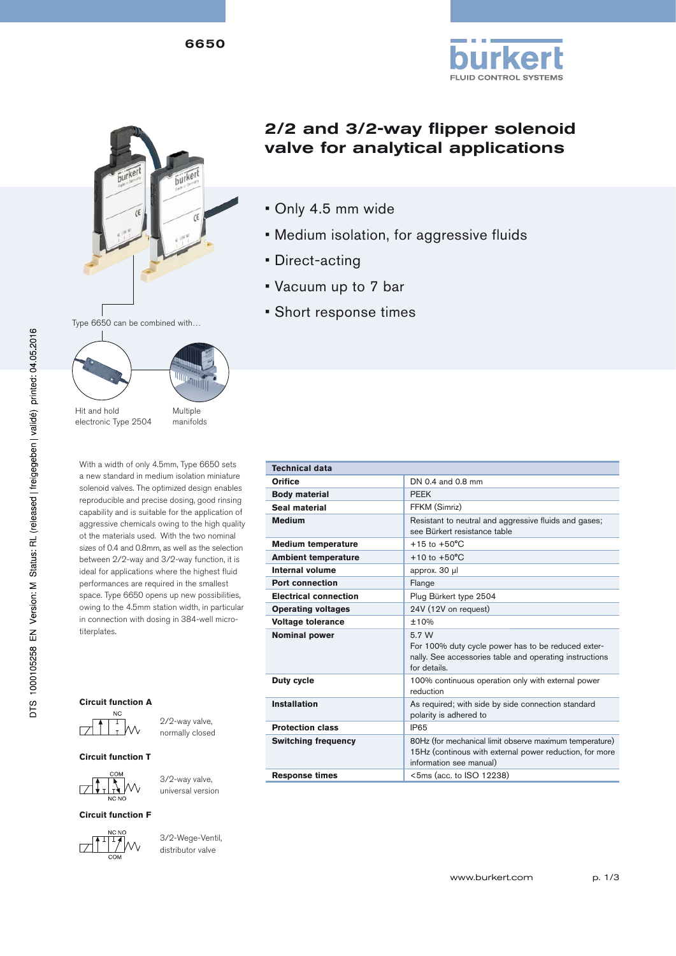6650



# 2/2 and 3/2-way flipper solenoid valve for analytical applications

**FLUID CONTROL SYSTEMS** 

- Only 4.5 mm wide
- Medium isolation, for aggressive fluids
- Direct-acting
- Vacuum up to 7 bar
- Short response times

Hit and hold electronic Type 2504 Multiple manifolds

With a width of only 4.5mm, Type 6650 sets a new standard in medium isolation miniature solenoid valves. The optimized design enables reproducible and precise dosing, good rinsing capability and is suitable for the application of aggressive chemicals owing to the high quality ot the materials used. With the two nominal sizes of 0.4 and 0.8mm, as well as the selection between 2/2-way and 3/2-way function, it is ideal for applications where the highest fluid performances are required in the smallest space. Type 6650 opens up new possibilities, owing to the 4.5mm station width, in particular in connection with dosing in 384-well microtiterplates.

#### **Circuit function A**



2/2-way valve, normally closed

3/2-way valve, universal version

**Circuit function T**



**Circuit function F**



3/2-Wege-Ventil, distributor valve

| <b>Technical data</b>        |                                                                                                                                               |  |  |  |
|------------------------------|-----------------------------------------------------------------------------------------------------------------------------------------------|--|--|--|
| <b>Orifice</b>               | DN 0.4 and 0.8 mm                                                                                                                             |  |  |  |
| <b>Body material</b>         | <b>PFFK</b>                                                                                                                                   |  |  |  |
| Seal material                | FFKM (Simriz)                                                                                                                                 |  |  |  |
| <b>Medium</b>                | Resistant to neutral and aggressive fluids and gases;<br>see Bürkert resistance table                                                         |  |  |  |
| <b>Medium temperature</b>    | $+15$ to $+50^{\circ}$ C                                                                                                                      |  |  |  |
| <b>Ambient temperature</b>   | $+10$ to $+50^{\circ}$ C                                                                                                                      |  |  |  |
| Internal volume              | approx. 30 µl                                                                                                                                 |  |  |  |
| <b>Port connection</b>       | Flange                                                                                                                                        |  |  |  |
| <b>Electrical connection</b> | Plug Bürkert type 2504                                                                                                                        |  |  |  |
| <b>Operating voltages</b>    | 24V (12V on request)                                                                                                                          |  |  |  |
| <b>Voltage tolerance</b>     | $+10%$                                                                                                                                        |  |  |  |
| <b>Nominal power</b>         | 5.7 W<br>For 100% duty cycle power has to be reduced exter-<br>nally. See accessories table and operating instructions<br>for details.        |  |  |  |
| Duty cycle                   | 100% continuous operation only with external power<br>reduction                                                                               |  |  |  |
| <b>Installation</b>          | As required; with side by side connection standard<br>polarity is adhered to                                                                  |  |  |  |
| <b>Protection class</b>      | IP65                                                                                                                                          |  |  |  |
| <b>Switching frequency</b>   | 80Hz (for mechanical limit observe maximum temperature)<br>15Hz (continous with external power reduction, for more<br>information see manual) |  |  |  |
| <b>Response times</b>        | <5ms (acc. to ISO 12238)                                                                                                                      |  |  |  |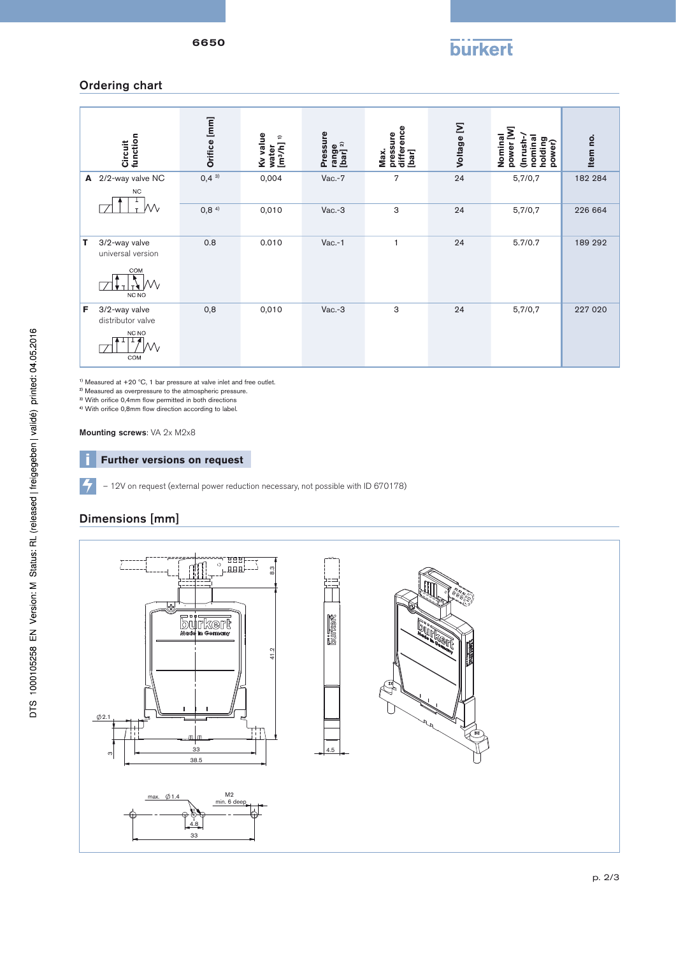## Ordering chart

|    | function<br>Circuit                                       | Orifice [mm]     | Kv value<br>$\Rightarrow$<br>water<br>[m3/h] | Pressure<br>range<br>[bar] <sup>2)</sup> | difference<br>[bar]<br>pressure<br>Max. | Voltage [V] | power [W]<br>Nominal<br>Inrush-<br>nomina<br>holding<br>power) | Item no. |
|----|-----------------------------------------------------------|------------------|----------------------------------------------|------------------------------------------|-----------------------------------------|-------------|----------------------------------------------------------------|----------|
| A  | 2/2-way valve NC<br><b>NC</b>                             | $0,4^{3}$        | 0,004                                        | $Vac.-7$                                 | 7                                       | 24          | 5,7/0,7                                                        | 182 284  |
|    | Мv                                                        | 0,8 <sup>4</sup> | 0,010                                        | $Vac.-3$                                 | 3                                       | 24          | 5,7/0,7                                                        | 226 664  |
| т  | 3/2-way valve<br>universal version<br>COM<br>Ŵ<br>NC NO   | 0.8              | 0.010                                        | $Vac.-1$                                 | $\mathbf{1}$                            | 24          | 5.7/0.7                                                        | 189 292  |
| F. | 3/2-way valve<br>distributor valve<br>NC NO<br>VV.<br>COM | 0,8              | 0,010                                        | $Vac.-3$                                 | 3                                       | 24          | 5,7/0,7                                                        | 227 020  |

 $1)$  Measured at +20  $^{\circ}$ C, 1 bar pressure at valve inlet and free outlet.

2) Measured as overpressure to the atmospheric pressure.

<sup>3)</sup> With orifice 0,4mm flow permitted in both directions

 $4)$  With orifice 0,8mm flow direction according to label.

Mounting screws: VA 2x M2x8

#### **EXTERIONS** Further versions on request

– 12V on request (external power reduction necessary, not possible with ID 670178)

## Dimensions [mm]

 $\vert \mathcal{F} \vert$